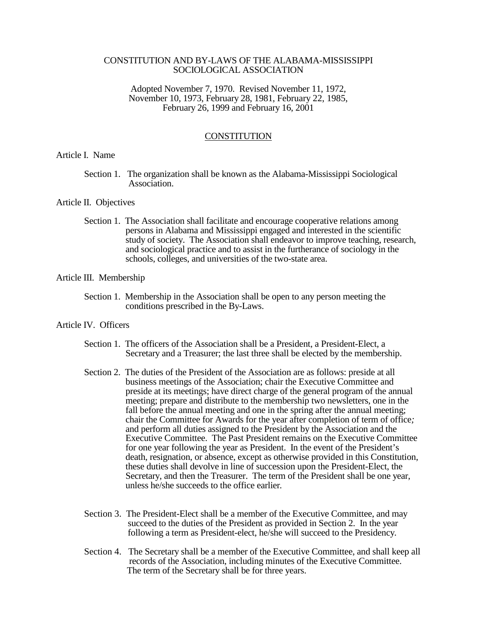# CONSTITUTION AND BY-LAWS OF THE ALABAMA-MISSISSIPPI SOCIOLOGICAL ASSOCIATION

Adopted November 7, 1970. Revised November 11, 1972, November 10, 1973, February 28, 1981, February 22, 1985, February 26, 1999 and February 16, 2001

### **CONSTITUTION**

### Article I. Name

 Section 1. The organization shall be known as the Alabama-Mississippi Sociological Association.

### Article II. Objectives

 Section 1. The Association shall facilitate and encourage cooperative relations among persons in Alabama and Mississippi engaged and interested in the scientific study of society. The Association shall endeavor to improve teaching, research, and sociological practice and to assist in the furtherance of sociology in the schools, colleges, and universities of the two-state area.

# Article III. Membership

Section 1. Membership in the Association shall be open to any person meeting the conditions prescribed in the By-Laws.

# Article IV. Officers

- Section 1. The officers of the Association shall be a President, a President-Elect, a Secretary and a Treasurer; the last three shall be elected by the membership.
- Section 2. The duties of the President of the Association are as follows: preside at all business meetings of the Association; chair the Executive Committee and preside at its meetings; have direct charge of the general program of the annual meeting; prepare and distribute to the membership two newsletters, one in the fall before the annual meeting and one in the spring after the annual meeting; chair the Committee for Awards for the year after completion of term of office*;* and perform all duties assigned to the President by the Association and the Executive Committee. The Past President remains on the Executive Committee for one year following the year as President. In the event of the President's death, resignation, or absence, except as otherwise provided in this Constitution, these duties shall devolve in line of succession upon the President-Elect, the Secretary, and then the Treasurer. The term of the President shall be one year, unless he/she succeeds to the office earlier*.*
- Section 3. The President-Elect shall be a member of the Executive Committee, and may succeed to the duties of the President as provided in Section 2. In the year following a term as President-elect, he/she will succeed to the Presidency*.*
- Section 4. The Secretary shall be a member of the Executive Committee, and shall keep all records of the Association, including minutes of the Executive Committee. The term of the Secretary shall be for three years.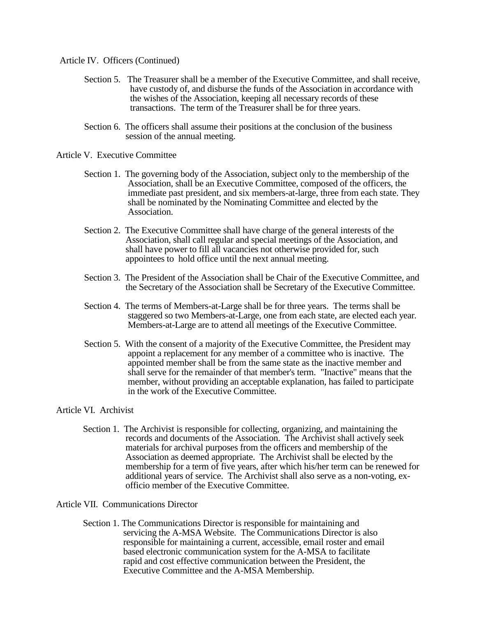Article IV. Officers (Continued)

- Section 5. The Treasurer shall be a member of the Executive Committee, and shall receive, have custody of, and disburse the funds of the Association in accordance with the wishes of the Association, keeping all necessary records of these transactions. The term of the Treasurer shall be for three years.
- Section 6. The officers shall assume their positions at the conclusion of the business session of the annual meeting.

Article V. Executive Committee

- Section 1. The governing body of the Association, subject only to the membership of the Association, shall be an Executive Committee, composed of the officers, the immediate past president, and six members-at-large, three from each state. They shall be nominated by the Nominating Committee and elected by the Association.
- Section 2. The Executive Committee shall have charge of the general interests of the Association, shall call regular and special meetings of the Association, and shall have power to fill all vacancies not otherwise provided for, such appointees to hold office until the next annual meeting.
- Section 3. The President of the Association shall be Chair of the Executive Committee, and the Secretary of the Association shall be Secretary of the Executive Committee.
- Section 4. The terms of Members-at-Large shall be for three years. The terms shall be staggered so two Members-at-Large, one from each state, are elected each year*.* Members-at-Large are to attend all meetings of the Executive Committee.
- Section 5. With the consent of a majority of the Executive Committee, the President may appoint a replacement for any member of a committee who is inactive. The appointed member shall be from the same state as the inactive member and shall serve for the remainder of that member's term. "Inactive" means that the member, without providing an acceptable explanation, has failed to participate in the work of the Executive Committee.

# Article VI. Archivist

 Section 1. The Archivist is responsible for collecting, organizing, and maintaining the records and documents of the Association. The Archivist shall actively seek materials for archival purposes from the officers and membership of the Association as deemed appropriate. The Archivist shall be elected by the membership for a term of five years, after which his/her term can be renewed for additional years of service. The Archivist shall also serve as a non-voting, ex officio member of the Executive Committee.

Article VII. Communications Director

 Section 1. The Communications Director is responsible for maintaining and servicing the A-MSA Website. The Communications Director is also responsible for maintaining a current, accessible, email roster and email based electronic communication system for the A-MSA to facilitate rapid and cost effective communication between the President, the Executive Committee and the A-MSA Membership.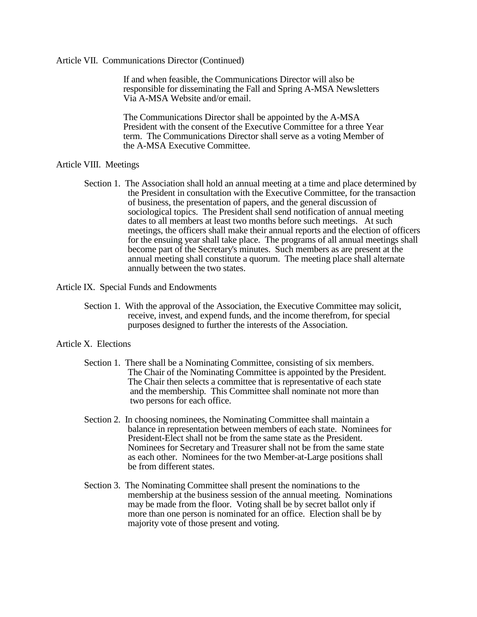### Article VII. Communications Director (Continued)

 If and when feasible, the Communications Director will also be responsible for disseminating the Fall and Spring A-MSA Newsletters Via A-MSA Website and/or email.

 The Communications Director shall be appointed by the A-MSA President with the consent of the Executive Committee for a three Year term. The Communications Director shall serve as a voting Member of the A-MSA Executive Committee.

#### Article VIII. Meetings

 Section 1. The Association shall hold an annual meeting at a time and place determined by the President in consultation with the Executive Committee, for the transaction of business, the presentation of papers, and the general discussion of sociological topics. The President shall send notification of annual meeting dates to all members at least two months before such meetings. At such meetings, the officers shall make their annual reports and the election of officers for the ensuing year shall take place. The programs of all annual meetings shall become part of the Secretary's minutes. Such members as are present at the annual meeting shall constitute a quorum. The meeting place shall alternate annually between the two states.

# Article IX. Special Funds and Endowments

Section 1. With the approval of the Association, the Executive Committee may solicit, receive, invest, and expend funds, and the income therefrom, for special purposes designed to further the interests of the Association.

## Article X. Elections

- Section 1. There shall be a Nominating Committee, consisting of six members. The Chair of the Nominating Committee is appointed by the President. The Chair then selects a committee that is representative of each state and the membership*.* This Committee shall nominate not more than two persons for each office.
- Section 2. In choosing nominees, the Nominating Committee shall maintain a balance in representation between members of each state. Nominees for President-Elect shall not be from the same state as the President. Nominees for Secretary and Treasurer shall not be from the same state as each other. Nominees for the two Member-at-Large positions shall be from different states.
- Section 3. The Nominating Committee shall present the nominations to the membership at the business session of the annual meeting. Nominations may be made from the floor. Voting shall be by secret ballot only if more than one person is nominated for an office. Election shall be by majority vote of those present and voting.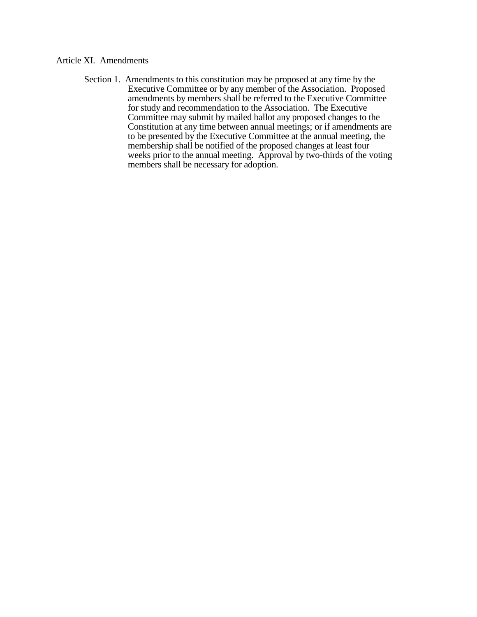# Article XI. Amendments

Section 1. Amendments to this constitution may be proposed at any time by the Executive Committee or by any member of the Association. Proposed amendments by members shall be referred to the Executive Committee for study and recommendation to the Association. The Executive Committee may submit by mailed ballot any proposed changes to the Constitution at any time between annual meetings; or if amendments are to be presented by the Executive Committee at the annual meeting, the membership shall be notified of the proposed changes at least four weeks prior to the annual meeting. Approval by two-thirds of the voting members shall be necessary for adoption.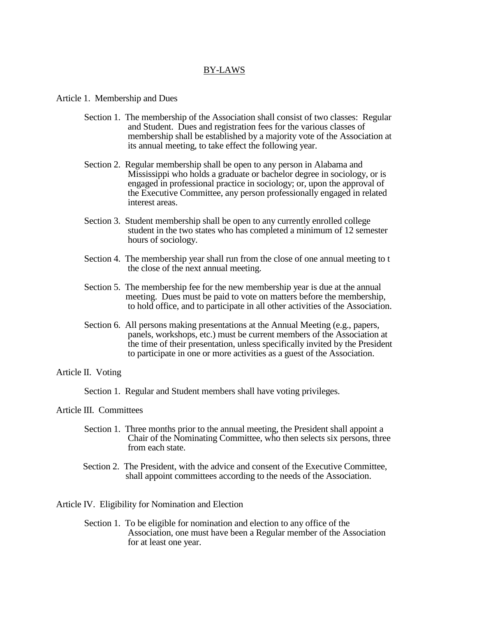# BY-LAWS

Article 1. Membership and Dues

- Section 1. The membership of the Association shall consist of two classes: Regular and Student. Dues and registration fees for the various classes of membership shall be established by a majority vote of the Association at its annual meeting, to take effect the following year.
- Section 2. Regular membership shall be open to any person in Alabama and Mississippi who holds a graduate or bachelor degree in sociology, or is engaged in professional practice in sociology; or, upon the approval of the Executive Committee, any person professionally engaged in related interest areas.
- Section 3. Student membership shall be open to any currently enrolled college student in the two states who has completed a minimum of 12 semester hours of sociology.
- Section 4. The membership year shall run from the close of one annual meeting to t the close of the next annual meeting.
- Section 5. The membership fee for the new membership year is due at the annual meeting. Dues must be paid to vote on matters before the membership, to hold office, and to participate in all other activities of the Association.
- Section 6. All persons making presentations at the Annual Meeting (e.g., papers, panels, workshops, etc.) must be current members of the Association at the time of their presentation, unless specifically invited by the President to participate in one or more activities as a guest of the Association.

# Article II. Voting

Section 1. Regular and Student members shall have voting privileges.

# Article III. Committees

- Section 1. Three months prior to the annual meeting, the President shall appoint a Chair of the Nominating Committee, who then selects six persons, three from each state.
- Section 2. The President, with the advice and consent of the Executive Committee, shall appoint committees according to the needs of the Association.

Article IV. Eligibility for Nomination and Election

Section 1. To be eligible for nomination and election to any office of the Association, one must have been a Regular member of the Association for at least one year.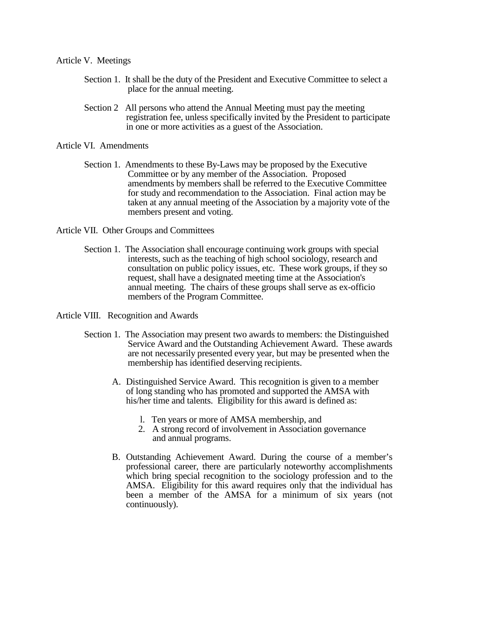## Article V. Meetings

- Section 1. It shall be the duty of the President and Executive Committee to select a place for the annual meeting.
- Section 2 All persons who attend the Annual Meeting must pay the meeting registration fee, unless specifically invited by the President to participate in one or more activities as a guest of the Association.

Article VI. Amendments

Section 1. Amendments to these By-Laws may be proposed by the Executive Committee or by any member of the Association. Proposed amendments by members shall be referred to the Executive Committee for study and recommendation to the Association. Final action may be taken at any annual meeting of the Association by a majority vote of the members present and voting.

Article VII. Other Groups and Committees

- Section 1. The Association shall encourage continuing work groups with special interests, such as the teaching of high school sociology, research and consultation on public policy issues, etc. These work groups, if they so request, shall have a designated meeting time at the Association's annual meeting. The chairs of these groups shall serve as ex-officio members of the Program Committee.
- Article VIII. Recognition and Awards
	- Section 1. The Association may present two awards to members: the Distinguished Service Award and the Outstanding Achievement Award. These awards are not necessarily presented every year, but may be presented when the membership has identified deserving recipients.
		- A. Distinguished Service Award. This recognition is given to a member of long standing who has promoted and supported the AMSA with his/her time and talents. Eligibility for this award is defined as:
			- l. Ten years or more of AMSA membership, and
			- 2. A strong record of involvement in Association governance and annual programs.
		- B. Outstanding Achievement Award. During the course of a member's professional career, there are particularly noteworthy accomplishments which bring special recognition to the sociology profession and to the AMSA. Eligibility for this award requires only that the individual has been a member of the AMSA for a minimum of six years (not continuously).